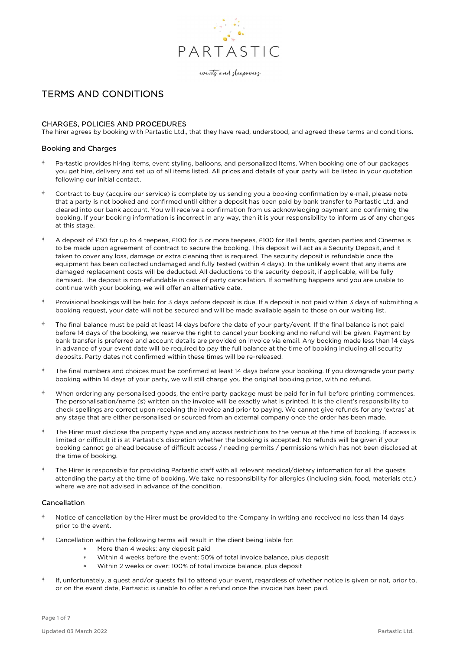

events and sleepovers

# TERMS AND CONDITIONS

# CHARGES, POLICIES AND PROCEDURES

The hirer agrees by booking with Partastic Ltd., that they have read, understood, and agreed these terms and conditions.

## Booking and Charges

- Partastic provides hiring items, event styling, balloons, and personalized Items. When booking one of our packages you get hire, delivery and set up of all items listed. All prices and details of your party will be listed in your quotation following our initial contact.
- Contract to buy (acquire our service) is complete by us sending you a booking confirmation by e-mail, please note that a party is not booked and confirmed until either a deposit has been paid by bank transfer to Partastic Ltd. and cleared into our bank account. You will receive a confirmation from us acknowledging payment and confirming the booking. If your booking information is incorrect in any way, then it is your responsibility to inform us of any changes at this stage.
- $\uparrow$  A deposit of £50 for up to 4 teepees, £100 for 5 or more teepees, £100 for Bell tents, garden parties and Cinemas is to be made upon agreement of contract to secure the booking. This deposit will act as a Security Deposit, and it taken to cover any loss, damage or extra cleaning that is required. The security deposit is refundable once the equipment has been collected undamaged and fully tested (within 4 days). In the unlikely event that any items are damaged replacement costs will be deducted. All deductions to the security deposit, if applicable, will be fully itemised. The deposit is non-refundable in case of party cancellation. If something happens and you are unable to continue with your booking, we will offer an alternative date.
- Provisional bookings will be held for 3 days before deposit is due. If a deposit is not paid within 3 days of submitting a booking request, your date will not be secured and will be made available again to those on our waiting list.
- $\dagger$  The final balance must be paid at least 14 days before the date of your party/event. If the final balance is not paid before 14 days of the booking, we reserve the right to cancel your booking and no refund will be given. Payment by bank transfer is preferred and account details are provided on invoice via email. Any booking made less than 14 days in advance of your event date will be required to pay the full balance at the time of booking including all security deposits. Party dates not confirmed within these times will be re-released.
- The final numbers and choices must be confirmed at least 14 days before your booking. If you downgrade your party booking within 14 days of your party, we will still charge you the original booking price, with no refund.
- When ordering any personalised goods, the entire party package must be paid for in full before printing commences. The personalisation/name (s) written on the invoice will be exactly what is printed. It is the client's responsibility to check spellings are correct upon receiving the invoice and prior to paying. We cannot give refunds for any 'extras' at any stage that are either personalised or sourced from an external company once the order has been made.
- The Hirer must disclose the property type and any access restrictions to the venue at the time of booking. If access is limited or difficult it is at Partastic's discretion whether the booking is accepted. No refunds will be given if your booking cannot go ahead because of difficult access / needing permits / permissions which has not been disclosed at the time of booking.
- The Hirer is responsible for providing Partastic staff with all relevant medical/dietary information for all the guests attending the party at the time of booking. We take no responsibility for allergies (including skin, food, materials etc.) where we are not advised in advance of the condition.

## Cancellation

- $\dagger$  Notice of cancellation by the Hirer must be provided to the Company in writing and received no less than 14 days prior to the event.
- $\uparrow$  Cancellation within the following terms will result in the client being liable for:
	- More than 4 weeks: any deposit paid
	- Within 4 weeks before the event: 50% of total invoice balance, plus deposit
	- Within 2 weeks or over: 100% of total invoice balance, plus deposit
- $\uparrow$  If, unfortunately, a guest and/or guests fail to attend your event, regardless of whether notice is given or not, prior to, or on the event date, Partastic is unable to offer a refund once the invoice has been paid.

Page 1 of 7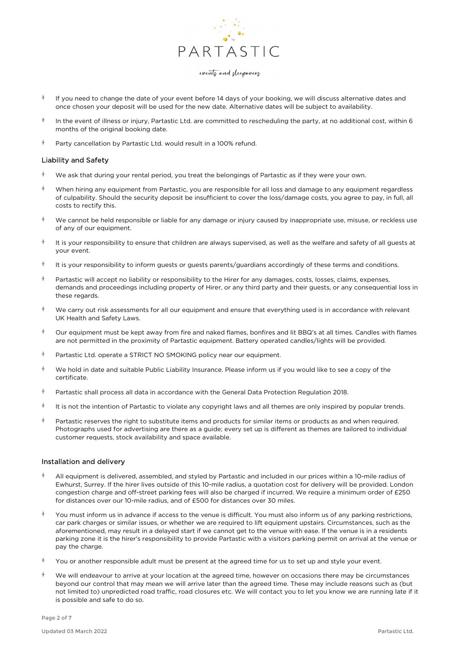

- If you need to change the date of your event before 14 days of your booking, we will discuss alternative dates and once chosen your deposit will be used for the new date. Alternative dates will be subject to availability.
- In the event of illness or injury, Partastic Ltd. are committed to rescheduling the party, at no additional cost, within 6 months of the original booking date.
- $\uparrow$  Party cancellation by Partastic Ltd. would result in a 100% refund.

#### Liability and Safety

- $*$  We ask that during your rental period, you treat the belongings of Partastic as if they were your own.
- When hiring any equipment from Partastic, you are responsible for all loss and damage to any equipment regardless of culpability. Should the security deposit be insufficient to cover the loss/damage costs, you agree to pay, in full, all costs to rectify this.
- We cannot be held responsible or liable for any damage or injury caused by inappropriate use, misuse, or reckless use of any of our equipment.
- $\dagger$  It is your responsibility to ensure that children are always supervised, as well as the welfare and safety of all quests at your event.
- It is your responsibility to inform guests or guests parents/guardians accordingly of these terms and conditions.
- $\dagger$  Partastic will accept no liability or responsibility to the Hirer for any damages, costs, losses, claims, expenses, demands and proceedings including property of Hirer, or any third party and their guests, or any consequential loss in these regards.
- We carry out risk assessments for all our equipment and ensure that everything used is in accordance with relevant UK Health and Safety Laws.
- Our equipment must be kept away from fire and naked flames, bonfires and lit BBQ's at all times. Candles with flames are not permitted in the proximity of Partastic equipment. Battery operated candles/lights will be provided.
- $\uparrow$  Partastic Ltd. operate a STRICT NO SMOKING policy near our equipment.
- $\dot{\phi}$  We hold in date and suitable Public Liability Insurance. Please inform us if you would like to see a copy of the certificate.
- $\dagger$  Partastic shall process all data in accordance with the General Data Protection Regulation 2018.
- $\dagger$  It is not the intention of Partastic to violate any copyright laws and all themes are only inspired by popular trends.
- $\uparrow$  Partastic reserves the right to substitute items and products for similar items or products as and when required. Photographs used for advertising are there as a guide; every set up is different as themes are tailored to individual customer requests, stock availability and space available.

## Installation and delivery

- All equipment is delivered, assembled, and styled by Partastic and included in our prices within a 10-mile radius of Ewhurst, Surrey. If the hirer lives outside of this 10-mile radius, a quotation cost for delivery will be provided. London congestion charge and off-street parking fees will also be charged if incurred. We require a minimum order of £250 for distances over our 10-mile radius, and of £500 for distances over 30 miles.
- You must inform us in advance if access to the venue is difficult. You must also inform us of any parking restrictions, car park charges or similar issues, or whether we are required to lift equipment upstairs. Circumstances, such as the aforementioned, may result in a delayed start if we cannot get to the venue with ease. If the venue is in a residents parking zone it is the hirer's responsibility to provide Partastic with a visitors parking permit on arrival at the venue or pay the charge.
- $\uparrow$  You or another responsible adult must be present at the agreed time for us to set up and style your event.
- $*$  We will endeavour to arrive at your location at the agreed time, however on occasions there may be circumstances beyond our control that may mean we will arrive later than the agreed time. These may include reasons such as (but not limited to) unpredicted road traffic, road closures etc. We will contact you to let you know we are running late if it is possible and safe to do so.

Page 2 of 7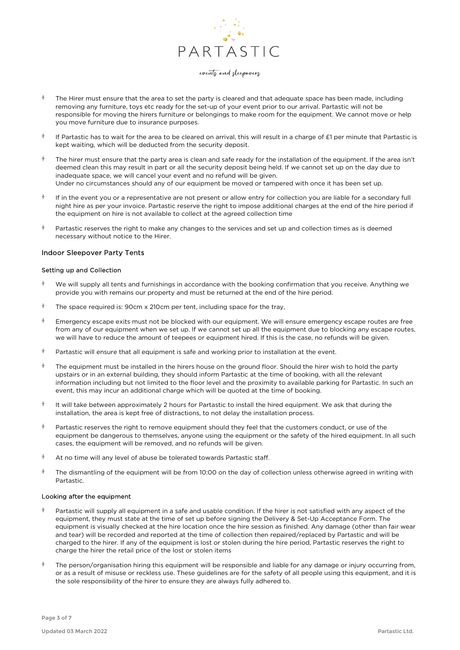

- The Hirer must ensure that the area to set the party is cleared and that adequate space has been made, including removing any furniture, toys etc ready for the set-up of your event prior to our arrival. Partastic will not be responsible for moving the hirers furniture or belongings to make room for the equipment. We cannot move or help you move furniture due to insurance purposes.
- If Partastic has to wait for the area to be cleared on arrival, this will result in a charge of £1 per minute that Partastic is kept waiting, which will be deducted from the security deposit.
- The hirer must ensure that the party area is clean and safe ready for the installation of the equipment. If the area isn't deemed clean this may result in part or all the security deposit being held. If we cannot set up on the day due to inadequate space, we will cancel your event and no refund will be given. Under no circumstances should any of our equipment be moved or tampered with once it has been set up.
- If in the event you or a representative are not present or allow entry for collection you are liable for a secondary full night hire as per your invoice. Partastic reserve the right to impose additional charges at the end of the hire period if the equipment on hire is not available to collect at the agreed collection time
- Partastic reserves the right to make any changes to the services and set up and collection times as is deemed necessary without notice to the Hirer.

## Indoor Sleepover Party Tents

#### Setting up and Collection

- We will supply all tents and furnishings in accordance with the booking confirmation that you receive. Anything we provide you with remains our property and must be returned at the end of the hire period.
- The space required is: 90cm x 210cm per tent, including space for the tray,
- $*$  Emergency escape exits must not be blocked with our equipment. We will ensure emergency escape routes are free from any of our equipment when we set up. If we cannot set up all the equipment due to blocking any escape routes, we will have to reduce the amount of teepees or equipment hired. If this is the case, no refunds will be given.
- $*$  Partastic will ensure that all equipment is safe and working prior to installation at the event.
- $\dagger$  The equipment must be installed in the hirers house on the ground floor. Should the hirer wish to hold the party upstairs or in an external building, they should inform Partastic at the time of booking, with all the relevant information including but not limited to the floor level and the proximity to available parking for Partastic. In such an event, this may incur an additional charge which will be quoted at the time of booking.
- It will take between approximately 2 hours for Partastic to install the hired equipment. We ask that during the installation, the area is kept free of distractions, to not delay the installation process.
- Partastic reserves the right to remove equipment should they feel that the customers conduct, or use of the equipment be dangerous to themselves, anyone using the equipment or the safety of the hired equipment. In all such cases, the equipment will be removed, and no refunds will be given.
- At no time will any level of abuse be tolerated towards Partastic staff.
- $\dagger$  The dismantling of the equipment will be from 10:00 on the day of collection unless otherwise agreed in writing with Partastic.

#### Looking after the equipment

- Partastic will supply all equipment in a safe and usable condition. If the hirer is not satisfied with any aspect of the equipment, they must state at the time of set up before signing the Delivery & Set-Up Acceptance Form. The equipment is visually checked at the hire location once the hire session as finished. Any damage (other than fair wear and tear) will be recorded and reported at the time of collection then repaired/replaced by Partastic and will be charged to the hirer. If any of the equipment is lost or stolen during the hire period, Partastic reserves the right to charge the hirer the retail price of the lost or stolen items
- $\dagger$  The person/organisation hiring this equipment will be responsible and liable for any damage or injury occurring from, or as a result of misuse or reckless use. These guidelines are for the safety of all people using this equipment, and it is the sole responsibility of the hirer to ensure they are always fully adhered to.

Page 3 of 7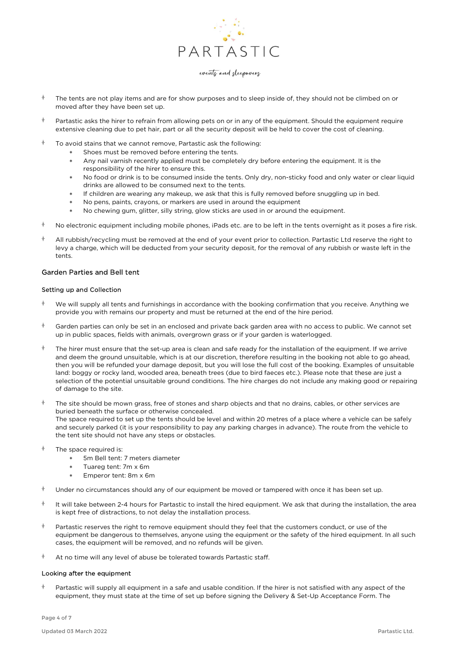

- The tents are not play items and are for show purposes and to sleep inside of, they should not be climbed on or moved after they have been set up.
- Partastic asks the hirer to refrain from allowing pets on or in any of the equipment. Should the equipment require extensive cleaning due to pet hair, part or all the security deposit will be held to cover the cost of cleaning.
- $\uparrow$  To avoid stains that we cannot remove, Partastic ask the following:
	- Shoes must be removed before entering the tents.
	- Any nail varnish recently applied must be completely dry before entering the equipment. It is the responsibility of the hirer to ensure this.
	- No food or drink is to be consumed inside the tents. Only dry, non-sticky food and only water or clear liquid drinks are allowed to be consumed next to the tents.
	- If children are wearing any makeup, we ask that this is fully removed before snuggling up in bed.
	- No pens, paints, crayons, or markers are used in around the equipment
	- No chewing gum, glitter, silly string, glow sticks are used in or around the equipment.
- No electronic equipment including mobile phones, iPads etc. are to be left in the tents overnight as it poses a fire risk.
- $\dagger$  All rubbish/recycling must be removed at the end of your event prior to collection. Partastic Ltd reserve the right to levy a charge, which will be deducted from your security deposit, for the removal of any rubbish or waste left in the tents.

#### Garden Parties and Bell tent

## Setting up and Collection

- $*$  We will supply all tents and furnishings in accordance with the booking confirmation that you receive. Anything we provide you with remains our property and must be returned at the end of the hire period.
- $\uparrow$  Garden parties can only be set in an enclosed and private back garden area with no access to public. We cannot set up in public spaces, fields with animals, overgrown grass or if your garden is waterlogged.
- The hirer must ensure that the set-up area is clean and safe ready for the installation of the equipment. If we arrive and deem the ground unsuitable, which is at our discretion, therefore resulting in the booking not able to go ahead, then you will be refunded your damage deposit, but you will lose the full cost of the booking. Examples of unsuitable land: boggy or rocky land, wooded area, beneath trees (due to bird faeces etc.). Please note that these are just a selection of the potential unsuitable ground conditions. The hire charges do not include any making good or repairing of damage to the site.
- The site should be mown grass, free of stones and sharp objects and that no drains, cables, or other services are buried beneath the surface or otherwise concealed. The space required to set up the tents should be level and within 20 metres of a place where a vehicle can be safely and securely parked (it is your responsibility to pay any parking charges in advance). The route from the vehicle to the tent site should not have any steps or obstacles.
- The space required is:<br>5m Bell tent:
	- 5m Bell tent: 7 meters diameter
	- Tuareg tent: 7m x 6m
	- Emperor tent: 8m x 6m
- $\uparrow$  Under no circumstances should any of our equipment be moved or tampered with once it has been set up.
- It will take between 2-4 hours for Partastic to install the hired equipment. We ask that during the installation, the area is kept free of distractions, to not delay the installation process.
- Partastic reserves the right to remove equipment should they feel that the customers conduct, or use of the equipment be dangerous to themselves, anyone using the equipment or the safety of the hired equipment. In all such cases, the equipment will be removed, and no refunds will be given.
- At no time will any level of abuse be tolerated towards Partastic staff.

#### Looking after the equipment

 Partastic will supply all equipment in a safe and usable condition. If the hirer is not satisfied with any aspect of the equipment, they must state at the time of set up before signing the Delivery & Set-Up Acceptance Form. The

Page 4 of 7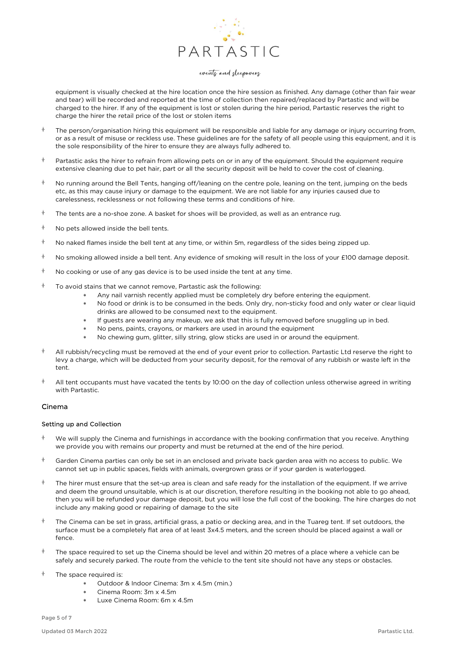

equipment is visually checked at the hire location once the hire session as finished. Any damage (other than fair wear and tear) will be recorded and reported at the time of collection then repaired/replaced by Partastic and will be charged to the hirer. If any of the equipment is lost or stolen during the hire period, Partastic reserves the right to charge the hirer the retail price of the lost or stolen items

- The person/organisation hiring this equipment will be responsible and liable for any damage or injury occurring from, or as a result of misuse or reckless use. These guidelines are for the safety of all people using this equipment, and it is the sole responsibility of the hirer to ensure they are always fully adhered to.
- $\uparrow$  Partastic asks the hirer to refrain from allowing pets on or in any of the equipment. Should the equipment require extensive cleaning due to pet hair, part or all the security deposit will be held to cover the cost of cleaning.
- $\uparrow$  No running around the Bell Tents, hanging off/leaning on the centre pole, leaning on the tent, jumping on the beds etc, as this may cause injury or damage to the equipment. We are not liable for any injuries caused due to carelessness, recklessness or not following these terms and conditions of hire.
- $\dagger$  The tents are a no-shoe zone. A basket for shoes will be provided, as well as an entrance rug.
- $\uparrow$  No pets allowed inside the bell tents.
- $\uparrow$  No naked flames inside the bell tent at any time, or within 5m, regardless of the sides being zipped up.
- $\uparrow$  No smoking allowed inside a bell tent. Any evidence of smoking will result in the loss of your £100 damage deposit.
- $\uparrow$  No cooking or use of any gas device is to be used inside the tent at any time.
- $\uparrow$  To avoid stains that we cannot remove, Partastic ask the following:
	- Any nail varnish recently applied must be completely dry before entering the equipment.
	- No food or drink is to be consumed in the beds. Only dry, non-sticky food and only water or clear liquid drinks are allowed to be consumed next to the equipment.
	- If guests are wearing any makeup, we ask that this is fully removed before snuggling up in bed.
	- No pens, paints, crayons, or markers are used in around the equipment
	- No chewing gum, glitter, silly string, glow sticks are used in or around the equipment.
- All rubbish/recycling must be removed at the end of your event prior to collection. Partastic Ltd reserve the right to levy a charge, which will be deducted from your security deposit, for the removal of any rubbish or waste left in the tent.
- All tent occupants must have vacated the tents by 10:00 on the day of collection unless otherwise agreed in writing with Partastic.

## Cinema

#### Setting up and Collection

- $*$  We will supply the Cinema and furnishings in accordance with the booking confirmation that you receive. Anything we provide you with remains our property and must be returned at the end of the hire period.
- Garden Cinema parties can only be set in an enclosed and private back garden area with no access to public. We cannot set up in public spaces, fields with animals, overgrown grass or if your garden is waterlogged.
- The hirer must ensure that the set-up area is clean and safe ready for the installation of the equipment. If we arrive and deem the ground unsuitable, which is at our discretion, therefore resulting in the booking not able to go ahead, then you will be refunded your damage deposit, but you will lose the full cost of the booking. The hire charges do not include any making good or repairing of damage to the site
- $\dagger$  The Cinema can be set in grass, artificial grass, a patio or decking area, and in the Tuareg tent. If set outdoors, the surface must be a completely flat area of at least 3x4.5 meters, and the screen should be placed against a wall or fence.
- $\dagger$  The space required to set up the Cinema should be level and within 20 metres of a place where a vehicle can be safely and securely parked. The route from the vehicle to the tent site should not have any steps or obstacles.
- The space required is:
	- Outdoor & Indoor Cinema: 3m x 4.5m (min.)
	- Cinema Room: 3m x 4.5m
	- Luxe Cinema Room: 6m x 4.5m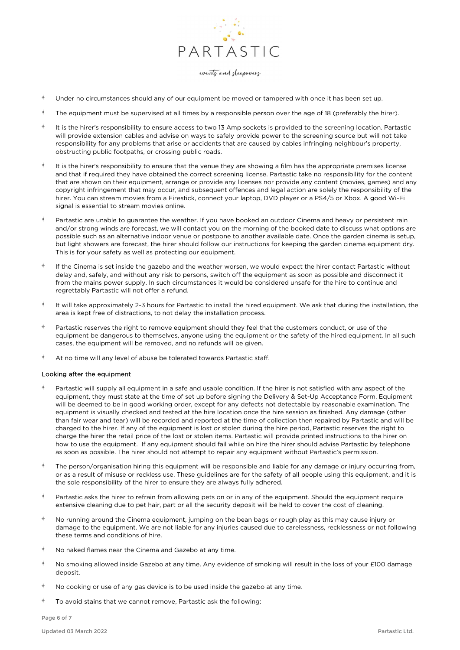

- Under no circumstances should any of our equipment be moved or tampered with once it has been set up.
- The equipment must be supervised at all times by a responsible person over the age of 18 (preferably the hirer).
- $\dagger$  It is the hirer's responsibility to ensure access to two 13 Amp sockets is provided to the screening location. Partastic will provide extension cables and advise on ways to safely provide power to the screening source but will not take responsibility for any problems that arise or accidents that are caused by cables infringing neighbour's property, obstructing public footpaths, or crossing public roads.
- It is the hirer's responsibility to ensure that the venue they are showing a film has the appropriate premises license and that if required they have obtained the correct screening license. Partastic take no responsibility for the content that are shown on their equipment, arrange or provide any licenses nor provide any content (movies, games) and any copyright infringement that may occur, and subsequent offences and legal action are solely the responsibility of the hirer. You can stream movies from a Firestick, connect your laptop, DVD player or a PS4/5 or Xbox. A good Wi-Fi signal is essential to stream movies online.
- $\dagger$  Partastic are unable to guarantee the weather. If you have booked an outdoor Cinema and heavy or persistent rain and/or strong winds are forecast, we will contact you on the morning of the booked date to discuss what options are possible such as an alternative indoor venue or postpone to another available date. Once the garden cinema is setup, but light showers are forecast, the hirer should follow our instructions for keeping the garden cinema equipment dry. This is for your safety as well as protecting our equipment.
- If the Cinema is set inside the gazebo and the weather worsen, we would expect the hirer contact Partastic without delay and, safely, and without any risk to persons, switch off the equipment as soon as possible and disconnect it from the mains power supply. In such circumstances it would be considered unsafe for the hire to continue and regrettably Partastic will not offer a refund.
- $\dagger$  It will take approximately 2-3 hours for Partastic to install the hired equipment. We ask that during the installation, the area is kept free of distractions, to not delay the installation process.
- Partastic reserves the right to remove equipment should they feel that the customers conduct, or use of the equipment be dangerous to themselves, anyone using the equipment or the safety of the hired equipment. In all such cases, the equipment will be removed, and no refunds will be given.
- At no time will any level of abuse be tolerated towards Partastic staff.

#### Looking after the equipment

- Partastic will supply all equipment in a safe and usable condition. If the hirer is not satisfied with any aspect of the equipment, they must state at the time of set up before signing the Delivery & Set-Up Acceptance Form. Equipment will be deemed to be in good working order, except for any defects not detectable by reasonable examination. The equipment is visually checked and tested at the hire location once the hire session as finished. Any damage (other than fair wear and tear) will be recorded and reported at the time of collection then repaired by Partastic and will be charged to the hirer. If any of the equipment is lost or stolen during the hire period, Partastic reserves the right to charge the hirer the retail price of the lost or stolen items. Partastic will provide printed instructions to the hirer on how to use the equipment. If any equipment should fail while on hire the hirer should advise Partastic by telephone as soon as possible. The hirer should not attempt to repair any equipment without Partastic's permission.
- The person/organisation hiring this equipment will be responsible and liable for any damage or injury occurring from, or as a result of misuse or reckless use. These guidelines are for the safety of all people using this equipment, and it is the sole responsibility of the hirer to ensure they are always fully adhered.
- Partastic asks the hirer to refrain from allowing pets on or in any of the equipment. Should the equipment require extensive cleaning due to pet hair, part or all the security deposit will be held to cover the cost of cleaning.
- $\uparrow$  No running around the Cinema equipment, jumping on the bean bags or rough play as this may cause injury or damage to the equipment. We are not liable for any injuries caused due to carelessness, recklessness or not following these terms and conditions of hire.
- $\uparrow$  No naked flames near the Cinema and Gazebo at any time.
- $\dagger$  No smoking allowed inside Gazebo at any time. Any evidence of smoking will result in the loss of your £100 damage deposit.
- $\uparrow$  No cooking or use of any gas device is to be used inside the gazebo at any time.
- $\dagger$  To avoid stains that we cannot remove, Partastic ask the following:

Page 6 of 7